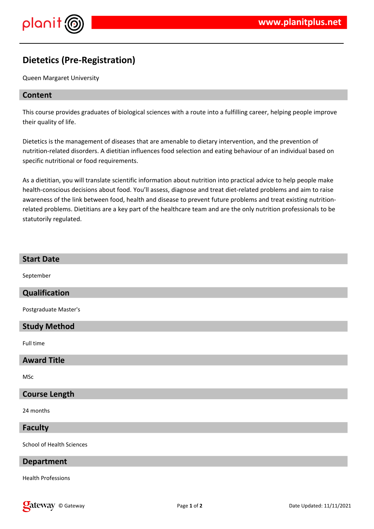

## **Dietetics (Pre-Registration)**

Queen Margaret University

### **Content**

This course provides graduates of biological sciences with a route into a fulfilling career, helping people improve their quality of life.

Dietetics is the management of diseases that are amenable to dietary intervention, and the prevention of nutrition-related disorders. A dietitian influences food selection and eating behaviour of an individual based on specific nutritional or food requirements.

As a dietitian, you will translate scientific information about nutrition into practical advice to help people make health-conscious decisions about food. You'll assess, diagnose and treat diet-related problems and aim to raise awareness of the link between food, health and disease to prevent future problems and treat existing nutritionrelated problems. Dietitians are a key part of the healthcare team and are the only nutrition professionals to be statutorily regulated.

## **Start Date**

September

## **Qualification**

Postgraduate Master's

## **Study Method**

Full time

#### **Award Title**

MSc

## **Course Length**

24 months

#### **Faculty**

School of Health Sciences

#### **Department**

Health Professions